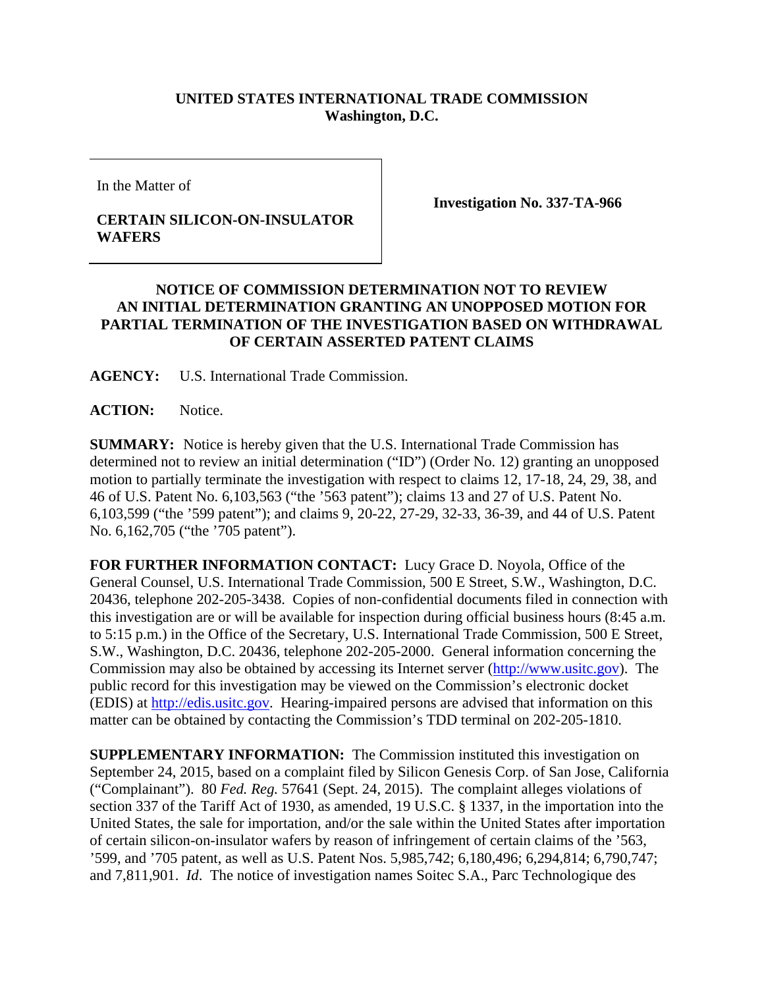## **UNITED STATES INTERNATIONAL TRADE COMMISSION Washington, D.C.**

In the Matter of

## **CERTAIN SILICON-ON-INSULATOR WAFERS**

**Investigation No. 337-TA-966** 

## **NOTICE OF COMMISSION DETERMINATION NOT TO REVIEW AN INITIAL DETERMINATION GRANTING AN UNOPPOSED MOTION FOR PARTIAL TERMINATION OF THE INVESTIGATION BASED ON WITHDRAWAL OF CERTAIN ASSERTED PATENT CLAIMS**

**AGENCY:** U.S. International Trade Commission.

**ACTION:** Notice.

**SUMMARY:** Notice is hereby given that the U.S. International Trade Commission has determined not to review an initial determination ("ID") (Order No. 12) granting an unopposed motion to partially terminate the investigation with respect to claims 12, 17-18, 24, 29, 38, and 46 of U.S. Patent No. 6,103,563 ("the '563 patent"); claims 13 and 27 of U.S. Patent No. 6,103,599 ("the '599 patent"); and claims 9, 20-22, 27-29, 32-33, 36-39, and 44 of U.S. Patent No. 6,162,705 ("the '705 patent").

**FOR FURTHER INFORMATION CONTACT:** Lucy Grace D. Noyola, Office of the General Counsel, U.S. International Trade Commission, 500 E Street, S.W., Washington, D.C. 20436, telephone 202-205-3438. Copies of non-confidential documents filed in connection with this investigation are or will be available for inspection during official business hours (8:45 a.m. to 5:15 p.m.) in the Office of the Secretary, U.S. International Trade Commission, 500 E Street, S.W., Washington, D.C. 20436, telephone 202-205-2000. General information concerning the Commission may also be obtained by accessing its Internet server (http://www.usitc.gov). The public record for this investigation may be viewed on the Commission's electronic docket (EDIS) at http://edis.usitc.gov. Hearing-impaired persons are advised that information on this matter can be obtained by contacting the Commission's TDD terminal on 202-205-1810.

**SUPPLEMENTARY INFORMATION:** The Commission instituted this investigation on September 24, 2015, based on a complaint filed by Silicon Genesis Corp. of San Jose, California ("Complainant"). 80 *Fed. Reg.* 57641 (Sept. 24, 2015). The complaint alleges violations of section 337 of the Tariff Act of 1930, as amended, 19 U.S.C. § 1337, in the importation into the United States, the sale for importation, and/or the sale within the United States after importation of certain silicon-on-insulator wafers by reason of infringement of certain claims of the '563, '599, and '705 patent, as well as U.S. Patent Nos. 5,985,742; 6,180,496; 6,294,814; 6,790,747; and 7,811,901. *Id*. The notice of investigation names Soitec S.A., Parc Technologique des